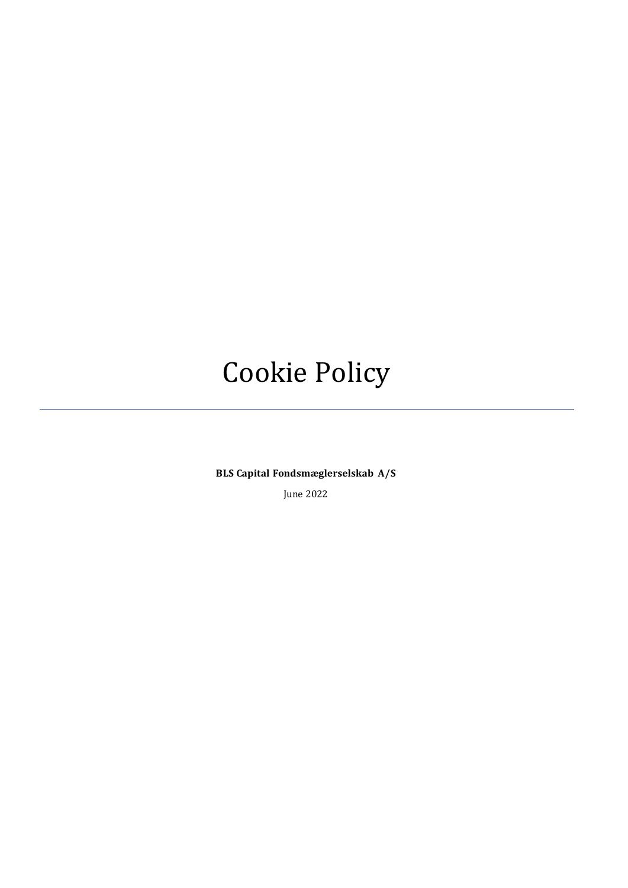# Cookie Policy

**BLS Capital Fondsmæglerselskab A/S**

June 2022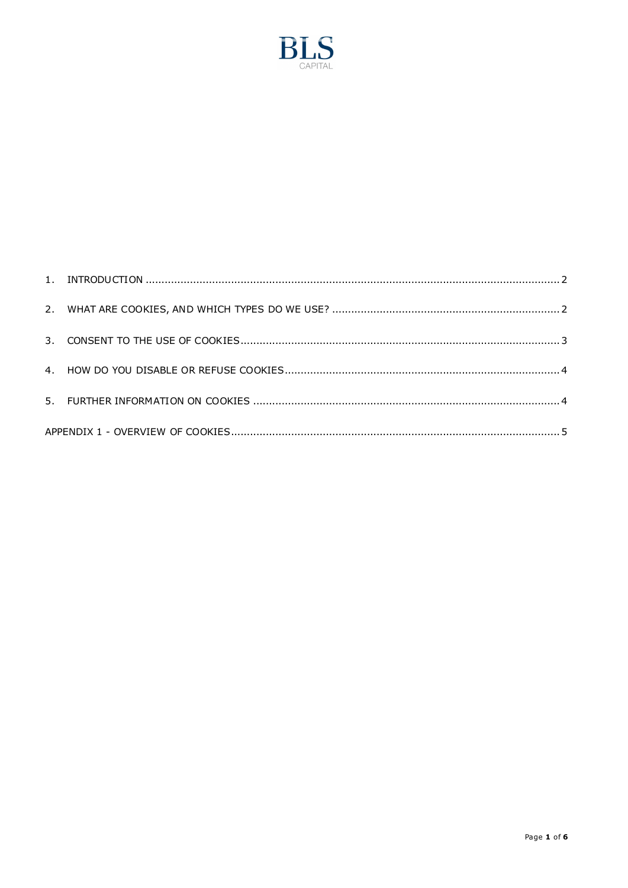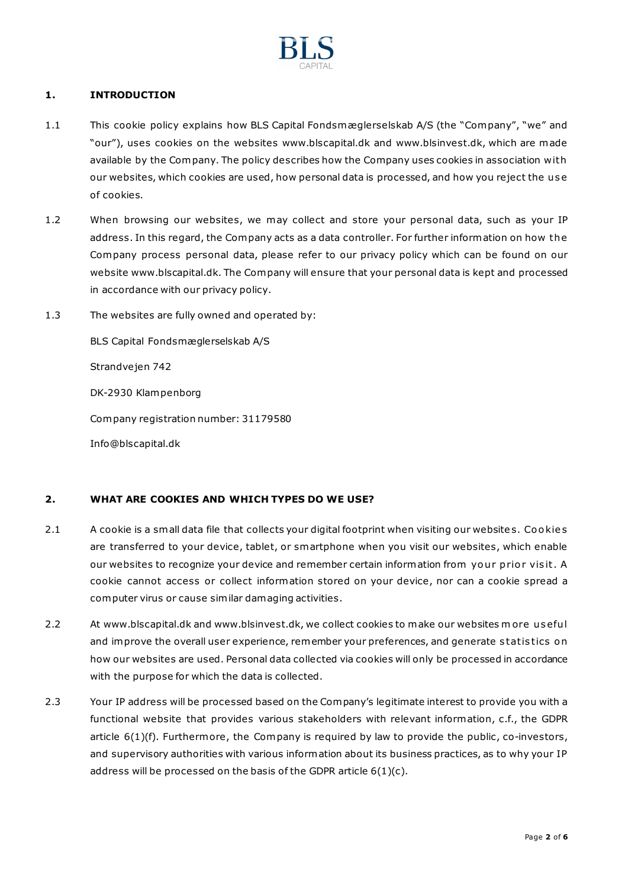

## <span id="page-2-0"></span>**1. INTRODUCTION**

- 1.1 This cookie policy explains how BLS Capital Fondsmæglerselskab A/S (the "Company", "we" and "our"), uses cookies on the website[s www.blscapital.dk](http://www.blscapital.dk/) and [www.blsinvest.dk](http://www.blsinvest.dk/), which are made available by the Company. The policy describes how the Company uses cookies in association with our websites, which cookies are used, how personal data is processed, and how you reject the use of cookies.
- 1.2 When browsing our websites, we may collect and store your personal data, such as your IP address. In this regard, the Company acts as a data controller. For further information on how the Company process personal data, please refer to our privacy policy which can be found on our websit[e www.blscapital.dk.](http://www.blscapital.dk/) The Company will ensure that your personal data is kept and processed in accordance with our privacy policy.
- 1.3 The websites are fully owned and operated by:

BLS Capital Fondsmæglerselskab A/S Strandvejen 742 DK-2930 Klampenborg Company registration number: 31179580 [Info@blscapital.dk](mailto:Info@blscapital.dk)

## <span id="page-2-1"></span>**2. WHAT ARE COOKIES AND WHICH TYPES DO WE USE?**

- 2.1 A cookie is a small data file that collects your digital footprint when visiting our websites. Cookies are transferred to your device, tablet, or smartphone when you visit our websites, which enable our websites to recognize your device and remember certain information from your prior visit. A cookie cannot access or collect information stored on your device, nor can a cookie spread a computer virus or cause similar damaging activities.
- 2.2 At [www.blscapital.dk](http://www.blscapital.dk/) and [www.blsinvest.dk,](http://www.blsinvest.dk/) we collect cookies to make our websites m ore u s eful and improve the overall user experience, remember your preferences, and generate statistics on how our websites are used. Personal data collected via cookies will only be processed in accordance with the purpose for which the data is collected.
- 2.3 Your IP address will be processed based on the Company's legitimate interest to provide you with a functional website that provides various stakeholders with relevant information, c.f., the GDPR article 6(1)(f). Furthermore, the Company is required by law to provide the public, co-investors, and supervisory authorities with various information about its business practices, as to why your IP address will be processed on the basis of the GDPR article 6(1)(c).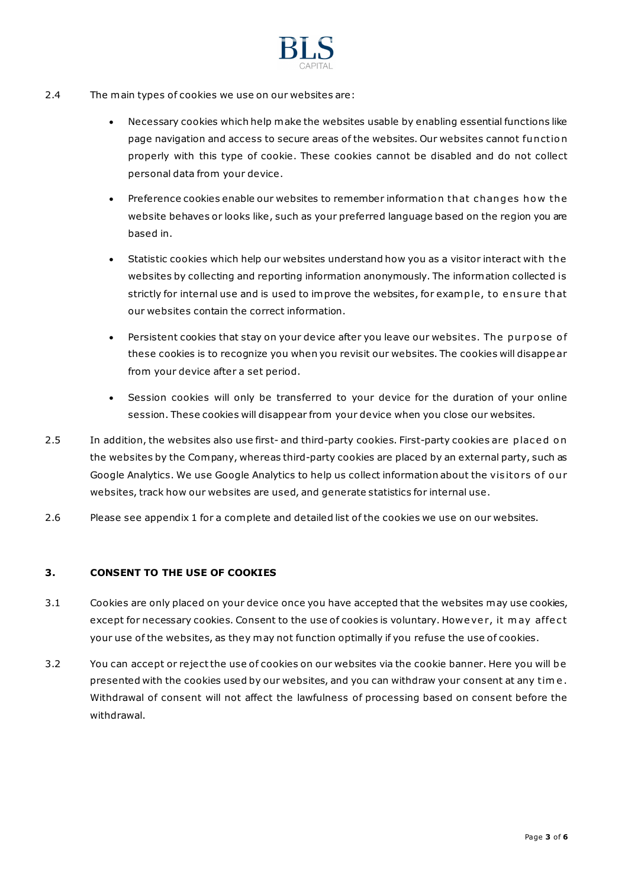

- 2.4 The main types of cookies we use on our websites are:
	- Necessary cookies which help make the websites usable by enabling essential functions like page navigation and access to secure areas of the websites. Our websites cannot fun ctio n properly with this type of cookie. These cookies cannot be disabled and do not collect personal data from your device.
	- Preference cookies enable our websites to remember information that changes how the website behaves or looks like, such as your preferred language based on the region you are based in.
	- Statistic cookies which help our websites understand how you as a visitor interact with the websites by collecting and reporting information anonymously. The information collected is strictly for internal use and is used to improve the websites, for example, to ensure that our websites contain the correct information.
	- Persistent cookies that stay on your device after you leave our websites. The purpose of these cookies is to recognize you when you revisit our websites. The cookies will disappe ar from your device after a set period.
	- Session cookies will only be transferred to your device for the duration of your online session. These cookies will disappear from your device when you close our websites.
- 2.5 In addition, the websites also use first- and third-party cookies. First-party cookies are placed on the websites by the Company, whereas third-party cookies are placed by an external party, such as Google Analytics. We use Google Analytics to help us collect information about the visitors of our websites, track how our websites are used, and generate statistics for internal use.
- <span id="page-3-0"></span>2.6 Please see appendix 1 for a complete and detailed list of the cookies we use on our websites.

## **3. CONSENT TO THE USE OF COOKIES**

- 3.1 Cookies are only placed on your device once you have accepted that the websites may use cookies, except for necessary cookies. Consent to the use of cookies is voluntary. Howe ver, it may affect your use of the websites, as they may not function optimally if you refuse the use of cookies.
- 3.2 You can accept or reject the use of cookies on our websites via the cookie banner. Here you will b e presented with the cookies used by our websites, and you can withdraw your consent at any tim e . Withdrawal of consent will not affect the lawfulness of processing based on consent before the withdrawal.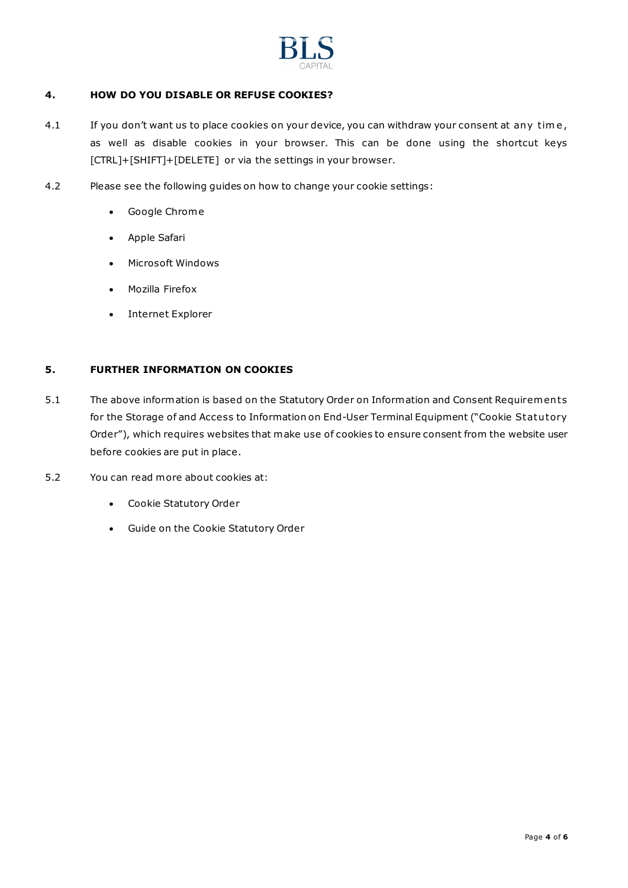

## <span id="page-4-0"></span>**4. HOW DO YOU DISABLE OR REFUSE COOKIES?**

- 4.1 If you don't want us to place cookies on your device, you can withdraw your consent at any time, as well as disable cookies in your browser. This can be done using the shortcut keys [CTRL]+[SHIFT]+[DELETE] or via the settings in your browser.
- 4.2 Please see the following guides on how to change your cookie settings:
	- [Google Chrome](https://support.google.com/chrome/answer/95647?hl=da)
	- [Apple Safari](https://support.apple.com/da-dk/HT201265)
	- [Microsoft Windows](https://support.microsoft.com/en-us/windows/windows-phone-7-3ebc303c-59c0-d367-3995-f258b184fabb)
	- [Mozilla Firefox](https://support.mozilla.org/da/kb/slet-cookies-fjerne-oplysninger-fra-websteder?redirectlocale=en-US&redirectslug=delete-cookies-remove-info-websites-stored)
	- [Internet Explorer](https://support.microsoft.com/en-us/windows/delete-and-manage-cookies-168dab11-0753-043d-7c16-ede5947fc64d)

## <span id="page-4-1"></span>**5. FURTHER INFORMATION ON COOKIES**

- 5.1 The above information is based on the Statutory Order on Information and Consent Requirements for the Storage of and Access to Information on End-User Terminal Equipment ("Cookie Statu tory Order"), which requires websites that make use of cookies to ensure consent from the website user before cookies are put in place.
- 5.2 You can read more about cookies at:
	- [Cookie Statutory Order](https://www.retsinformation.dk/eli/lta/2011/1148)
	- [Guide on the Cookie Statutory Order](https://www.retsinformation.dk/eli/retsinfo/2019/10189)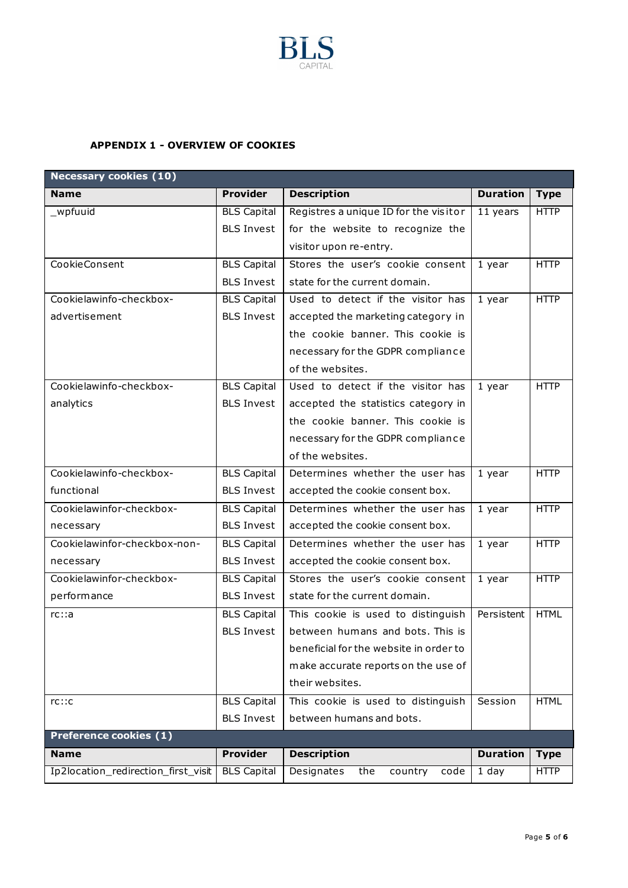

## <span id="page-5-0"></span>**APPENDIX 1 - OVERVIEW OF COOKIES**

| <b>Necessary cookies (10)</b>       |                    |                                        |                 |             |  |  |  |
|-------------------------------------|--------------------|----------------------------------------|-----------------|-------------|--|--|--|
| <b>Name</b>                         | <b>Provider</b>    | <b>Description</b>                     | <b>Duration</b> | <b>Type</b> |  |  |  |
| _wpfuuid                            | <b>BLS Capital</b> | Registres a unique ID for the visitor  | 11 years        | <b>HTTP</b> |  |  |  |
|                                     | <b>BLS Invest</b>  | for the website to recognize the       |                 |             |  |  |  |
|                                     |                    | visitor upon re-entry.                 |                 |             |  |  |  |
| CookieConsent                       | <b>BLS Capital</b> | Stores the user's cookie consent       | 1 year          | <b>HTTP</b> |  |  |  |
|                                     | <b>BLS Invest</b>  | state for the current domain.          |                 |             |  |  |  |
| Cookielawinfo-checkbox-             | <b>BLS Capital</b> | Used to detect if the visitor has      | 1 year          | <b>HTTP</b> |  |  |  |
| advertisement                       | <b>BLS Invest</b>  | accepted the marketing category in     |                 |             |  |  |  |
|                                     |                    | the cookie banner. This cookie is      |                 |             |  |  |  |
|                                     |                    | necessary for the GDPR compliance      |                 |             |  |  |  |
|                                     |                    | of the websites.                       |                 |             |  |  |  |
| Cookielawinfo-checkbox-             | <b>BLS Capital</b> | Used to detect if the visitor has      | 1 year          | <b>HTTP</b> |  |  |  |
| analytics                           | <b>BLS Invest</b>  | accepted the statistics category in    |                 |             |  |  |  |
|                                     |                    | the cookie banner. This cookie is      |                 |             |  |  |  |
|                                     |                    | necessary for the GDPR compliance      |                 |             |  |  |  |
|                                     |                    | of the websites.                       |                 |             |  |  |  |
| Cookielawinfo-checkbox-             | <b>BLS Capital</b> | Determines whether the user has        | 1 year          | <b>HTTP</b> |  |  |  |
| functional                          | <b>BLS Invest</b>  | accepted the cookie consent box.       |                 |             |  |  |  |
| Cookielawinfor-checkbox-            | <b>BLS Capital</b> | Determines whether the user has        | 1 year          | <b>HTTP</b> |  |  |  |
| necessary                           | <b>BLS Invest</b>  | accepted the cookie consent box.       |                 |             |  |  |  |
| Cookielawinfor-checkbox-non-        | <b>BLS Capital</b> | Determines whether the user has        | 1 year          | <b>HTTP</b> |  |  |  |
| necessary                           | <b>BLS Invest</b>  | accepted the cookie consent box.       |                 |             |  |  |  |
| Cookielawinfor-checkbox-            | <b>BLS Capital</b> | Stores the user's cookie consent       | 1 year          | <b>HTTP</b> |  |  |  |
| performance                         | <b>BLS Invest</b>  | state for the current domain.          |                 |             |  |  |  |
| rc:aa                               | <b>BLS Capital</b> | This cookie is used to distinguish     | Persistent      | <b>HTML</b> |  |  |  |
|                                     | <b>BLS Invest</b>  | between humans and bots. This is       |                 |             |  |  |  |
|                                     |                    | beneficial for the website in order to |                 |             |  |  |  |
|                                     |                    | make accurate reports on the use of    |                 |             |  |  |  |
|                                     |                    | their websites.                        |                 |             |  |  |  |
| rc::c                               | <b>BLS Capital</b> | This cookie is used to distinguish     | Session         | <b>HTML</b> |  |  |  |
|                                     | <b>BLS Invest</b>  | between humans and bots.               |                 |             |  |  |  |
| <b>Preference cookies (1)</b>       |                    |                                        |                 |             |  |  |  |
| <b>Name</b>                         | <b>Provider</b>    | <b>Description</b>                     | <b>Duration</b> | <b>Type</b> |  |  |  |
| Ip2location_redirection_first_visit | <b>BLS Capital</b> | Designates<br>the<br>country<br>code   | $1$ day         | <b>HTTP</b> |  |  |  |